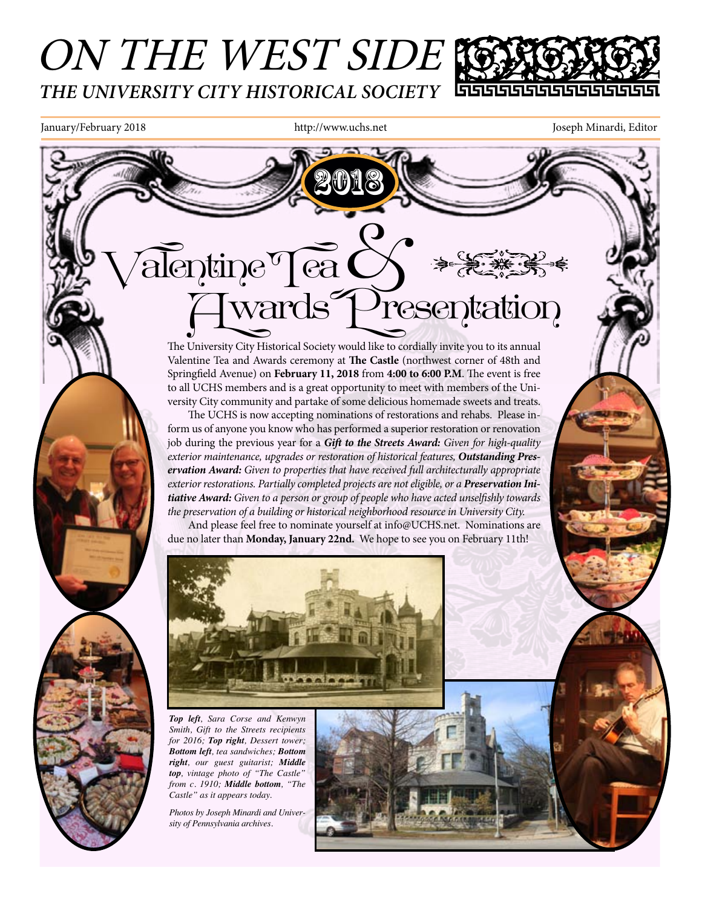# ON THE WEST SIDE *THE UNIVERSITY CITY HISTORICAL SOCIETY*

2018

 $\begin{tabular}{l} Inuary/February 2018 \\ \hline \end{tabular} \begin{tabular}{p{6cm}} \hline \begin{tabular}{c} A number of 100000 \end{tabular} \end{tabular} \end{tabular} \begin{tabular}{p{6cm}} \hline \begin{tabular}{c} A number of 10000 \end{tabular} \end{tabular} \end{tabular} \begin{tabular}{p{6cm}} \hline \begin{tabular}{c} A number of 100000 \end{tabular} \end{tabular} \end{tabular} \begin{tabular}{p{6cm}} \hline \begin{tabular}{c} A number of 100000 \end{tabular} \end{tabular} \$ 

# alentine Tea  $\bigvee$  and allentiation

The University City Historical Society would like to cordially invite you to its annual Valentine Tea and Awards ceremony at **The Castle** (northwest corner of 48th and Springfield Avenue) on **February 11, 2018** from **4:00 to 6:00 P.M**. The event is free to all UCHS members and is a great opportunity to meet with members of the University City community and partake of some delicious homemade sweets and treats.

The UCHS is now accepting nominations of restorations and rehabs. Please inform us of anyone you know who has performed a superior restoration or renovation job during the previous year for a *Gift to the Streets Award: Given for high-quality exterior maintenance, upgrades or restoration of historical features, Outstanding Preservation Award: Given to properties that have received full architecturally appropriate exterior restorations. Partially completed projects are not eligible, or a Preservation Initiative Award: Given to a person or group of people who have acted unselfishly towards the preservation of a building or historical neighborhood resource in University City.* 

And please feel free to nominate yourself at info@UCHS.net. Nominations are due no later than **Monday, January 22nd.** We hope to see you on February 11th!



*Top left, Sara Corse and Kenwyn Smith, Gift to the Streets recipients for 2016; Top right, Dessert tower; Bottom left, tea sandwiches; Bottom right, our guest guitarist; Middle top, vintage photo of "The Castle" from c. 1910; Middle bottom, "The Castle" as it appears today.*

*Photos by Joseph Minardi and University of Pennsylvania archives.*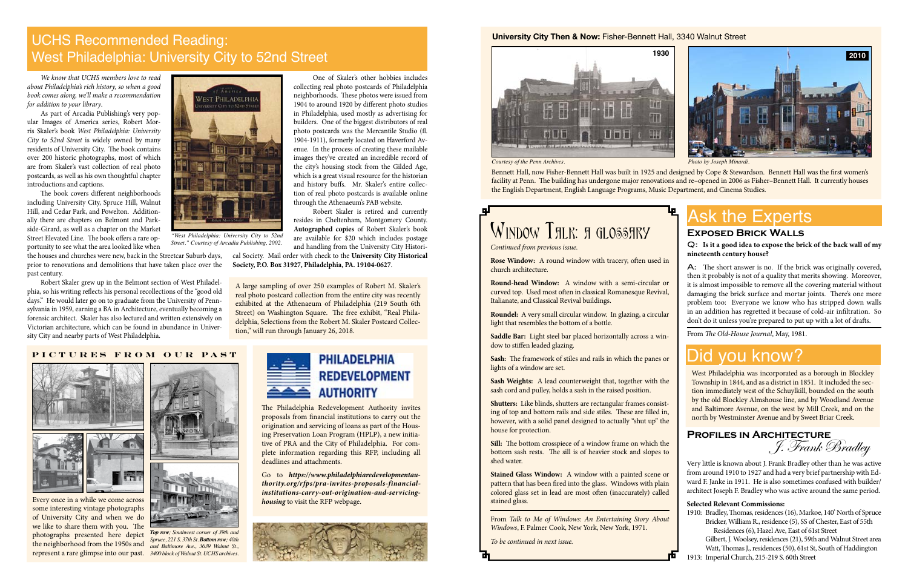*Courtesy of the Penn Archives. Photo by Joseph Minardi.*



Bennett Hall, now Fisher-Bennett Hall was built in 1925 and designed by Cope & Stewardson. Bennett Hall was the first women's facility at Penn. The building has undergone major renovations and re–opened in 2006 as Fisher–Bennett Hall. It currently houses the English Department, English Language Programs, Music Department, and Cinema Studies.

# WINDOW THLK: A GLOSSHRY

#### **University City Then & Now:** Fisher-Bennett Hall, 3340 Walnut Street



*We know that UCHS members love to read about Philadelphia's rich history, so when a good book comes along, we'll make a recommendation for addition to your library*.

As part of Arcadia Publishing's very popular Images of America series, Robert Morris Skaler's book *West Philadelphia: University City to 52nd Street* is widely owned by many residents of University City. The book contains over 200 historic photographs, most of which are from Skaler's vast collection of real photo postcards, as well as his own thoughtful chapter introductions and captions.

The book covers different neighborhoods including University City, Spruce Hill, Walnut Hill, and Cedar Park, and Powelton. Additionally there are chapters on Belmont and Parkside-Girard, as well as a chapter on the Market Street Elevated Line. The book offers a rare opportunity to see what the area looked like when

the houses and churches were new, back in the Streetcar Suburb days, prior to renovations and demolitions that have taken place over the past century.

Robert Skaler grew up in the Belmont section of West Philadelphia, so his writing reflects his personal recollections of the "good old days." He would later go on to graduate from the University of Pennsylvania in 1959, earning a BA in Architecture, eventually becoming a forensic architect. Skaler has also lectured and written extensively on Victorian architecture, which can be found in abundance in University City and nearby parts of West Philadelphia.



One of Skaler's other hobbies includes collecting real photo postcards of Philadelphia neighborhoods. These photos were issued from 1904 to around 1920 by different photo studios in Philadelphia, used mostly as advertising for builders. One of the biggest distributors of real photo postcards was the Mercantile Studio (fl. 1904-1911), formerly located on Haverford Avenue. In the process of creating these mailable images they've created an incredible record of the city's housing stock from the Gilded Age, which is a great visual resource for the historian and history buffs. Mr. Skaler's entire collection of real photo postcards is available online



through the Athenaeum's PAB website.

Robert Skaler is retired and currently resides in Cheltenham, Montgomery County. **Autographed copies** of Robert Skaler's book are available for \$20 which includes postage and handling from the University City Histori-

cal Society. Mail order with check to the **University City Historical Society, P.O. Box 31927, Philadelphia, PA. 19104-0627**.

### UCHS Recommended Reading: West Philadelphia: University City to 52nd Street

*"West Philadelphia: University City to 52nd Street." Courtesy of Arcadia Publishing, 2002.*

#### **Profiles in Architecture** J. Frank Bradley

Very little is known about J. Frank Bradley other than he was active from around 1910 to 1927 and had a very brief partnership with Edward F. Janke in 1911. He is also sometimes confused with builder/ architect Joseph F. Bradley who was active around the same period.

#### **Selected Relevant Commissions:**

1910: Bradley, Thomas, residences (16), Markoe, 140' North of Spruce Bricker, William R., residence (5), SS of Chester, East of 55th Residences (6), Hazel Ave, East of 61st Street

Gilbert, J. Woolsey, residences (21), 59th and Walnut Street area Watt, Thomas J., residences (50), 61st St, South of Haddington 1913: Imperial Church, 215-219 S. 60th Street

Q: **Is it a good idea to expose the brick of the back wall of my nineteenth century house?**

A: The short answer is no. If the brick was originally covered, then it probably is not of a quality that merits showing. Moreover, it is almost impossible to remove all the covering material without damaging the brick surface and mortar joints. There's one more problem too: Everyone we know who has stripped down walls in an addition has regretted it because of cold-air infiltration. So don't do it unless you're prepared to put up with a lot of drafts.

From *The Old-House Journal*, May, 1981.

#### **Exposed Brick Walls**

West Philadelphia was incorporated as a borough in Blockley Township in 1844, and as a district in 1851. It included the section immediately west of the Schuylkill, bounded on the south by the old Blockley Almshouse line, and by Woodland Avenue and Baltimore Avenue, on the west by Mill Creek, and on the north by Westminster Avenue and by Sweet Briar Creek.

## Did you know?

*Continued from previous issue*.

**Rose Window:** A round window with tracery, often used in church architecture.

**Round-head Window:** A window with a semi-circular or curved top. Used most often in classical Romanesque Revival, Italianate, and Classical Revival buildings.

**Roundel:** A very small circular window. In glazing, a circular light that resembles the bottom of a bottle.

**Saddle Bar:** Light steel bar placed horizontally across a window to stiffen leaded glazing.

**Sash:** The framework of stiles and rails in which the panes or lights of a window are set.

**Sash Weights:** A lead counterweight that, together with the sash cord and pulley, holds a sash in the raised position.

**Shutters:** Like blinds, shutters are rectangular frames consisting of top and bottom rails and side stiles. These are filled in, however, with a solid panel designed to actually "shut up" the house for protection.

**Sill:** The bottom crosspiece of a window frame on which the bottom sash rests. The sill is of heavier stock and slopes to shed water.

**Stained Glass Window:** A window with a painted scene or pattern that has been fired into the glass. Windows with plain colored glass set in lead are most often (inaccurately) called stained glass.

From *Talk to Me of Windows: An Entertaining Story About Windows*, F. Palmer Cook, New York, New York, 1971.

*To be continued in next issue.*

Every once in a while we come across some interesting vintage photographs of University City and when we do we like to share them with you. The photographs presented here depict the neighborhood from the 1950s and represent a rare glimpse into our past. *3400 block of Walnut St. UCHS archives.*

# Ask the Experts

#### **Pictures from Our Past**





*Top row; Southwest corner of 39th and Spruce, 221 S. 37th St. Bottom row; 40th and Baltimore Ave., 3639 Walnut St.,* 



A large sampling of over 250 examples of Robert M. Skaler's real photo postcard collection from the entire city was recently exhibited at the Athenaeum of Philadelphia (219 South 6th Street) on Washington Square. The free exhibit, "Real Philadelphia, Selections from the Robert M. Skaler Postcard Collection," will run through January 26, 2018.

> The Philadelphia Redevelopment Authority invites proposals from financial institutions to carry out the origination and servicing of loans as part of the Housing Preservation Loan Program (HPLP), a new initiative of PRA and the City of Philadelphia. For complete information regarding this RFP, including all deadlines and attachments.

> Go to *https://www.philadelphiaredevelopmentauthority.org/rfps/pra-invites-proposals-financialinstitutions-carry-out-origination-and-servicinghousing* to visit the RFP webpage.